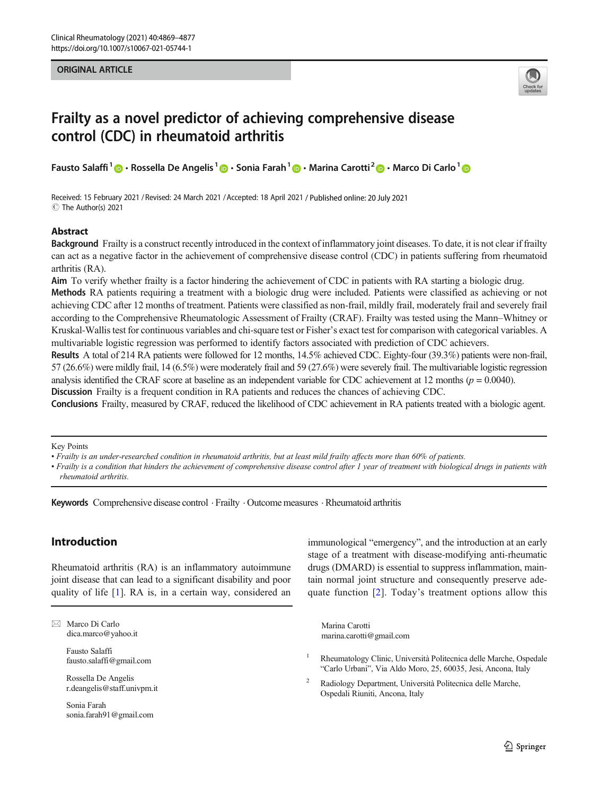#### **ORIGINAL ARTICLE** ORIGINAL ARTICLE



# Frailty as a novel predictor of achieving comprehensive disease control (CDC) in rheumatoid arthritis

Fausto Salaffi<sup>1</sup> **D** · Rossella De Angelis<sup>1</sup> D · Sonia Farah<sup>1</sup> D · Marina Carotti<sup>2</sup> D · Marco Di Carlo<sup>1</sup> D

Received: 15 February 2021 / Revised: 24 March 2021 /Accepted: 18 April 2021 / Published online: 20 July 2021 C The Author(s) 2021

## Abstract

Background Frailty is a construct recently introduced in the context of inflammatory joint diseases. To date, it is not clear if frailty can act as a negative factor in the achievement of comprehensive disease control (CDC) in patients suffering from rheumatoid arthritis (RA).

Aim To verify whether frailty is a factor hindering the achievement of CDC in patients with RA starting a biologic drug.

Methods RA patients requiring a treatment with a biologic drug were included. Patients were classified as achieving or not achieving CDC after 12 months of treatment. Patients were classified as non-frail, mildly frail, moderately frail and severely frail according to the Comprehensive Rheumatologic Assessment of Frailty (CRAF). Frailty was tested using the Mann–Whitney or Kruskal-Wallis test for continuous variables and chi-square test or Fisher's exact test for comparison with categorical variables. A multivariable logistic regression was performed to identify factors associated with prediction of CDC achievers.

Results A total of 214 RA patients were followed for 12 months, 14.5% achieved CDC. Eighty-four (39.3%) patients were non-frail, 57 (26.6%) were mildly frail, 14 (6.5%) were moderately frail and 59 (27.6%) were severely frail. The multivariable logistic regression analysis identified the CRAF score at baseline as an independent variable for CDC achievement at 12 months ( $p = 0.0040$ ). Discussion Frailty is a frequent condition in RA patients and reduces the chances of achieving CDC.

Conclusions Frailty, measured by CRAF, reduced the likelihood of CDC achievement in RA patients treated with a biologic agent.

Key Points

• Frailty is an under-researched condition in rheumatoid arthritis, but at least mild frailty affects more than 60% of patients.

• Frailty is a condition that hinders the achievement of comprehensive disease control after 1 year of treatment with biological drugs in patients with rheumatoid arthritis.

Keywords Comprehensive disease control  $\cdot$  Frailty  $\cdot$  Outcome measures  $\cdot$  Rheumatoid arthritis

# Introduction

Rheumatoid arthritis (RA) is an inflammatory autoimmune joint disease that can lead to a significant disability and poor quality of life [[1\]](#page-6-0). RA is, in a certain way, considered an

 $\boxtimes$  Marco Di Carlo [dica.marco@yahoo.it](mailto:dica.marco@yahoo.it)

> Fausto Salaffi fausto.salaffi@gmail.com

Rossella De Angelis r.deangelis@staff.univpm.it

Sonia Farah sonia.farah91@gmail.com immunological "emergency", and the introduction at an early stage of a treatment with disease-modifying anti-rheumatic drugs (DMARD) is essential to suppress inflammation, maintain normal joint structure and consequently preserve adequate function [[2\]](#page-6-0). Today's treatment options allow this

Marina Carotti marina.carotti@gmail.com

- <sup>1</sup> Rheumatology Clinic, Università Politecnica delle Marche, Ospedale "Carlo Urbani", Via Aldo Moro, 25, 60035, Jesi, Ancona, Italy
- <sup>2</sup> Radiology Department, Università Politecnica delle Marche, Ospedali Riuniti, Ancona, Italy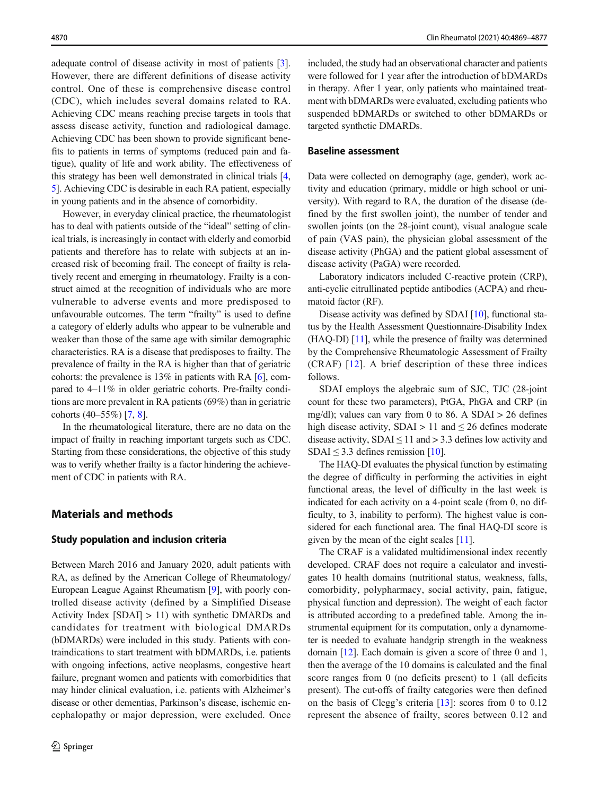adequate control of disease activity in most of patients [[3](#page-6-0)]. However, there are different definitions of disease activity control. One of these is comprehensive disease control (CDC), which includes several domains related to RA. Achieving CDC means reaching precise targets in tools that assess disease activity, function and radiological damage. Achieving CDC has been shown to provide significant benefits to patients in terms of symptoms (reduced pain and fatigue), quality of life and work ability. The effectiveness of this strategy has been well demonstrated in clinical trials [[4,](#page-6-0) [5\]](#page-6-0). Achieving CDC is desirable in each RA patient, especially in young patients and in the absence of comorbidity.

However, in everyday clinical practice, the rheumatologist has to deal with patients outside of the "ideal" setting of clinical trials, is increasingly in contact with elderly and comorbid patients and therefore has to relate with subjects at an increased risk of becoming frail. The concept of frailty is relatively recent and emerging in rheumatology. Frailty is a construct aimed at the recognition of individuals who are more vulnerable to adverse events and more predisposed to unfavourable outcomes. The term "frailty" is used to define a category of elderly adults who appear to be vulnerable and weaker than those of the same age with similar demographic characteristics. RA is a disease that predisposes to frailty. The prevalence of frailty in the RA is higher than that of geriatric cohorts: the prevalence is 13% in patients with RA [\[6\]](#page-6-0), compared to 4–11% in older geriatric cohorts. Pre-frailty conditions are more prevalent in RA patients (69%) than in geriatric cohorts (40–55%) [[7,](#page-6-0) [8\]](#page-6-0).

In the rheumatological literature, there are no data on the impact of frailty in reaching important targets such as CDC. Starting from these considerations, the objective of this study was to verify whether frailty is a factor hindering the achievement of CDC in patients with RA.

## Materials and methods

### Study population and inclusion criteria

Between March 2016 and January 2020, adult patients with RA, as defined by the American College of Rheumatology/ European League Against Rheumatism [\[9](#page-6-0)], with poorly controlled disease activity (defined by a Simplified Disease Activity Index [SDAI] > 11) with synthetic DMARDs and candidates for treatment with biological DMARDs (bDMARDs) were included in this study. Patients with contraindications to start treatment with bDMARDs, i.e. patients with ongoing infections, active neoplasms, congestive heart failure, pregnant women and patients with comorbidities that may hinder clinical evaluation, i.e. patients with Alzheimer's disease or other dementias, Parkinson's disease, ischemic encephalopathy or major depression, were excluded. Once

included, the study had an observational character and patients were followed for 1 year after the introduction of bDMARDs in therapy. After 1 year, only patients who maintained treatment with bDMARDs were evaluated, excluding patients who suspended bDMARDs or switched to other bDMARDs or targeted synthetic DMARDs.

#### Baseline assessment

Data were collected on demography (age, gender), work activity and education (primary, middle or high school or university). With regard to RA, the duration of the disease (defined by the first swollen joint), the number of tender and swollen joints (on the 28-joint count), visual analogue scale of pain (VAS pain), the physician global assessment of the disease activity (PhGA) and the patient global assessment of disease activity (PaGA) were recorded.

Laboratory indicators included C-reactive protein (CRP), anti-cyclic citrullinated peptide antibodies (ACPA) and rheumatoid factor (RF).

Disease activity was defined by SDAI [\[10\]](#page-6-0), functional status by the Health Assessment Questionnaire-Disability Index (HAQ-DI) [[11\]](#page-6-0), while the presence of frailty was determined by the Comprehensive Rheumatologic Assessment of Frailty (CRAF) [[12\]](#page-6-0). A brief description of these three indices follows.

SDAI employs the algebraic sum of SJC, TJC (28-joint count for these two parameters), PtGA, PhGA and CRP (in mg/dl); values can vary from 0 to 86. A SDAI > 26 defines high disease activity, SDAI > 11 and  $\leq$  26 defines moderate disease activity,  $SDAI \leq 11$  and  $> 3.3$  defines low activity and SDAI  $\leq$  3.3 defines remission [\[10\]](#page-6-0).

The HAQ-DI evaluates the physical function by estimating the degree of difficulty in performing the activities in eight functional areas, the level of difficulty in the last week is indicated for each activity on a 4-point scale (from 0, no difficulty, to 3, inability to perform). The highest value is considered for each functional area. The final HAQ-DI score is given by the mean of the eight scales [[11\]](#page-6-0).

The CRAF is a validated multidimensional index recently developed. CRAF does not require a calculator and investigates 10 health domains (nutritional status, weakness, falls, comorbidity, polypharmacy, social activity, pain, fatigue, physical function and depression). The weight of each factor is attributed according to a predefined table. Among the instrumental equipment for its computation, only a dynamometer is needed to evaluate handgrip strength in the weakness domain [\[12](#page-6-0)]. Each domain is given a score of three 0 and 1, then the average of the 10 domains is calculated and the final score ranges from 0 (no deficits present) to 1 (all deficits present). The cut-offs of frailty categories were then defined on the basis of Clegg's criteria [[13](#page-6-0)]: scores from 0 to 0.12 represent the absence of frailty, scores between 0.12 and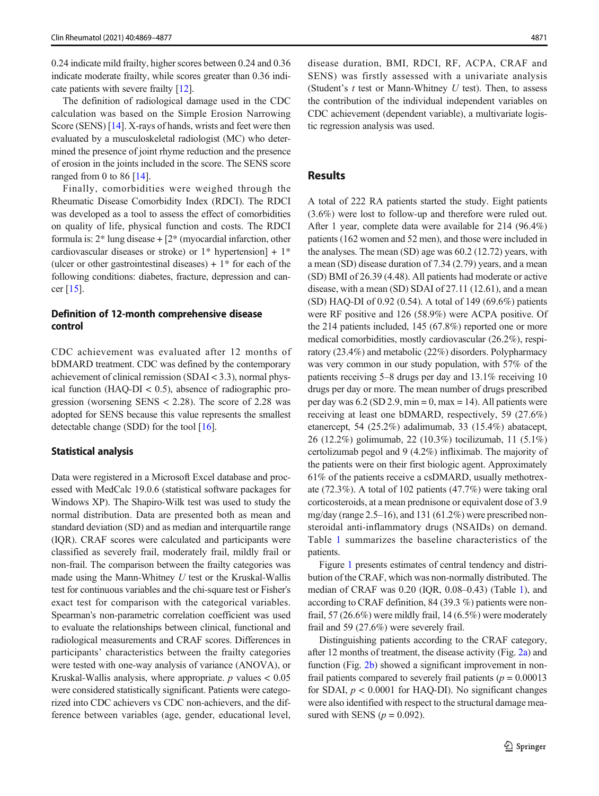0.24 indicate mild frailty, higher scores between 0.24 and 0.36 indicate moderate frailty, while scores greater than 0.36 indicate patients with severe frailty [[12\]](#page-6-0).

The definition of radiological damage used in the CDC calculation was based on the Simple Erosion Narrowing Score (SENS) [\[14](#page-6-0)]. X-rays of hands, wrists and feet were then evaluated by a musculoskeletal radiologist (MC) who determined the presence of joint rhyme reduction and the presence of erosion in the joints included in the score. The SENS score ranged from 0 to 86  $[14]$  $[14]$ .

Finally, comorbidities were weighed through the Rheumatic Disease Comorbidity Index (RDCI). The RDCI was developed as a tool to assess the effect of comorbidities on quality of life, physical function and costs. The RDCI formula is:  $2^*$  lung disease +  $[2^*$  (myocardial infarction, other cardiovascular diseases or stroke) or  $1^*$  hypertension] +  $1^*$ (ulcer or other gastrointestinal diseases)  $+1$ <sup>\*</sup> for each of the following conditions: diabetes, fracture, depression and cancer [\[15](#page-7-0)].

## Definition of 12-month comprehensive disease control

CDC achievement was evaluated after 12 months of bDMARD treatment. CDC was defined by the contemporary achievement of clinical remission (SDAI < 3.3), normal physical function (HAQ-DI  $< 0.5$ ), absence of radiographic progression (worsening SENS  $<$  2.28). The score of 2.28 was adopted for SENS because this value represents the smallest detectable change (SDD) for the tool  $[16]$  $[16]$ .

## Statistical analysis

Data were registered in a Microsoft Excel database and processed with MedCalc 19.0.6 (statistical software packages for Windows XP). The Shapiro-Wilk test was used to study the normal distribution. Data are presented both as mean and standard deviation (SD) and as median and interquartile range (IQR). CRAF scores were calculated and participants were classified as severely frail, moderately frail, mildly frail or non-frail. The comparison between the frailty categories was made using the Mann-Whitney  $U$  test or the Kruskal-Wallis test for continuous variables and the chi-square test or Fisher's exact test for comparison with the categorical variables. Spearman's non-parametric correlation coefficient was used to evaluate the relationships between clinical, functional and radiological measurements and CRAF scores. Differences in participants' characteristics between the frailty categories were tested with one-way analysis of variance (ANOVA), or Kruskal-Wallis analysis, where appropriate.  $p$  values  $< 0.05$ were considered statistically significant. Patients were categorized into CDC achievers vs CDC non-achievers, and the difference between variables (age, gender, educational level, disease duration, BMI, RDCI, RF, ACPA, CRAF and SENS) was firstly assessed with a univariate analysis (Student's  $t$  test or Mann-Whitney  $U$  test). Then, to assess the contribution of the individual independent variables on CDC achievement (dependent variable), a multivariate logistic regression analysis was used.

# Results

A total of 222 RA patients started the study. Eight patients (3.6%) were lost to follow-up and therefore were ruled out. After 1 year, complete data were available for 214 (96.4%) patients (162 women and 52 men), and those were included in the analyses. The mean (SD) age was 60.2 (12.72) years, with a mean (SD) disease duration of 7.34 (2.79) years, and a mean (SD) BMI of 26.39 (4.48). All patients had moderate or active disease, with a mean (SD) SDAI of 27.11 (12.61), and a mean (SD) HAQ-DI of 0.92 (0.54). A total of 149 (69.6%) patients were RF positive and 126 (58.9%) were ACPA positive. Of the 214 patients included, 145 (67.8%) reported one or more medical comorbidities, mostly cardiovascular (26.2%), respiratory (23.4%) and metabolic (22%) disorders. Polypharmacy was very common in our study population, with 57% of the patients receiving 5–8 drugs per day and 13.1% receiving 10 drugs per day or more. The mean number of drugs prescribed per day was  $6.2$  (SD  $2.9$ , min = 0, max = 14). All patients were receiving at least one bDMARD, respectively, 59 (27.6%) etanercept, 54 (25.2%) adalimumab, 33 (15.4%) abatacept, 26 (12.2%) golimumab, 22 (10.3%) tocilizumab, 11 (5.1%) certolizumab pegol and 9 (4.2%) infliximab. The majority of the patients were on their first biologic agent. Approximately 61% of the patients receive a csDMARD, usually methotrexate (72.3%). A total of 102 patients (47.7%) were taking oral corticosteroids, at a mean prednisone or equivalent dose of 3.9 mg/day (range 2.5–16), and 131 (61.2%) were prescribed nonsteroidal anti-inflammatory drugs (NSAIDs) on demand. Table [1](https://www.ncbi.nlm.nih.gov/pmc/articles/PMC6567570/table/Tab1/) summarizes the baseline characteristics of the patients.

Figure [1](#page-3-0) presents estimates of central tendency and distribution of the CRAF, which was non-normally distributed. The median of CRAF was 0.20 (IQR, 0.08–0.43) (Table [1](#page-3-0)), and according to CRAF definition, 84 (39.3 %) patients were nonfrail, 57 (26.6%) were mildly frail, 14 (6.5%) were moderately frail and 59 (27.6%) were severely frail.

Distinguishing patients according to the CRAF category, after 12 months of treatment, the disease activity (Fig. [2a\)](#page-4-0) and function (Fig. [2b](#page-4-0)) showed a significant improvement in nonfrail patients compared to severely frail patients ( $p = 0.00013$ ) for SDAI,  $p < 0.0001$  for HAQ-DI). No significant changes were also identified with respect to the structural damage measured with SENS ( $p = 0.092$ ).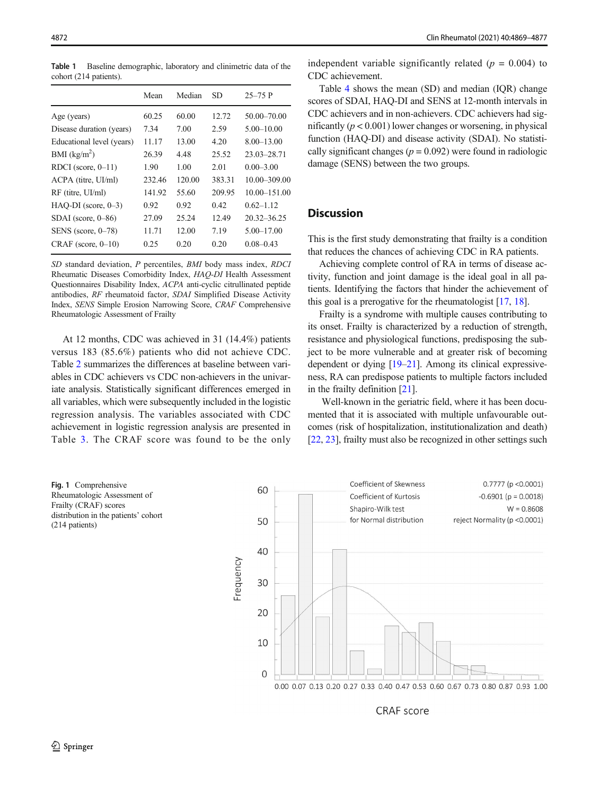<span id="page-3-0"></span>Table 1 Baseline demographic, laboratory and clinimetric data of the cohort (214 patients).

|                           | Mean   | Median | SD     | $25 - 75$ P      |
|---------------------------|--------|--------|--------|------------------|
| Age (years)               | 60.25  | 60.00  | 12.72  | 50.00–70.00      |
| Disease duration (years)  | 7.34   | 7.00   | 2.59   | $5.00 - 10.00$   |
| Educational level (years) | 11.17  | 13.00  | 4.20   | $8.00 - 13.00$   |
| BMI $(kg/m^2)$            | 26.39  | 4.48   | 25.52  | 23.03-28.71      |
| RDCI (score, $0-11$ )     | 1.90   | 1.00   | 2.01   | $0.00 - 3.00$    |
| ACPA (titre, UI/ml)       | 232.46 | 120.00 | 383.31 | $10.00 - 309.00$ |
| RF (titre, UI/ml)         | 141.92 | 55.60  | 209.95 | $10.00 - 151.00$ |
| $HAQ-DI$ (score, $0-3$ )  | 0.92   | 0.92   | 0.42   | $0.62 - 1.12$    |
| SDAI (score, $0-86$ )     | 27.09  | 25.24  | 12.49  | $20.32 - 36.25$  |
| SENS (score, $0-78$ )     | 11.71  | 12.00  | 7.19   | $5.00 - 17.00$   |
| $CRAF$ (score, $0-10$ )   | 0.25   | 0.20   | 0.20   | $0.08 - 0.43$    |

SD standard deviation, P percentiles, BMI body mass index, RDCI Rheumatic Diseases Comorbidity Index, HAQ-DI Health Assessment Questionnaires Disability Index, ACPA anti-cyclic citrullinated peptide antibodies, RF rheumatoid factor, SDAI Simplified Disease Activity Index, SENS Simple Erosion Narrowing Score, CRAF Comprehensive Rheumatologic Assessment of Frailty

At 12 months, CDC was achieved in 31 (14.4%) patients versus 183 (85.6%) patients who did not achieve CDC. Table [2](#page-4-0) summarizes the differences at baseline between variables in CDC achievers vs CDC non-achievers in the univariate analysis. Statistically significant differences emerged in all variables, which were subsequently included in the logistic regression analysis. The variables associated with CDC achievement in logistic regression analysis are presented in Table [3.](#page-5-0) The CRAF score was found to be the only independent variable significantly related ( $p = 0.004$ ) to CDC achievement.

Table [4](#page-5-0) shows the mean (SD) and median (IQR) change scores of SDAI, HAQ-DI and SENS at 12-month intervals in CDC achievers and in non-achievers. CDC achievers had significantly  $(p < 0.001)$  lower changes or worsening, in physical function (HAQ-DI) and disease activity (SDAI). No statistically significant changes ( $p = 0.092$ ) were found in radiologic damage (SENS) between the two groups.

# **Discussion**

This is the first study demonstrating that frailty is a condition that reduces the chances of achieving CDC in RA patients.

Achieving complete control of RA in terms of disease activity, function and joint damage is the ideal goal in all patients. Identifying the factors that hinder the achievement of this goal is a prerogative for the rheumatologist [[17](#page-7-0), [18](#page-7-0)].

Frailty is a syndrome with multiple causes contributing to its onset. Frailty is characterized by a reduction of strength, resistance and physiological functions, predisposing the subject to be more vulnerable and at greater risk of becoming dependent or dying [[19](#page-7-0)–[21](#page-7-0)]. Among its clinical expressiveness, RA can predispose patients to multiple factors included in the frailty definition [[21\]](#page-7-0).

Well-known in the geriatric field, where it has been documented that it is associated with multiple unfavourable outcomes (risk of hospitalization, institutionalization and death) [\[22](#page-7-0), [23\]](#page-7-0), frailty must also be recognized in other settings such



Rheumatologic Assessment of Frailty (CRAF) scores distribution in the patients' cohort (214 patients)

Fig. 1 Comprehensive

**CRAF** score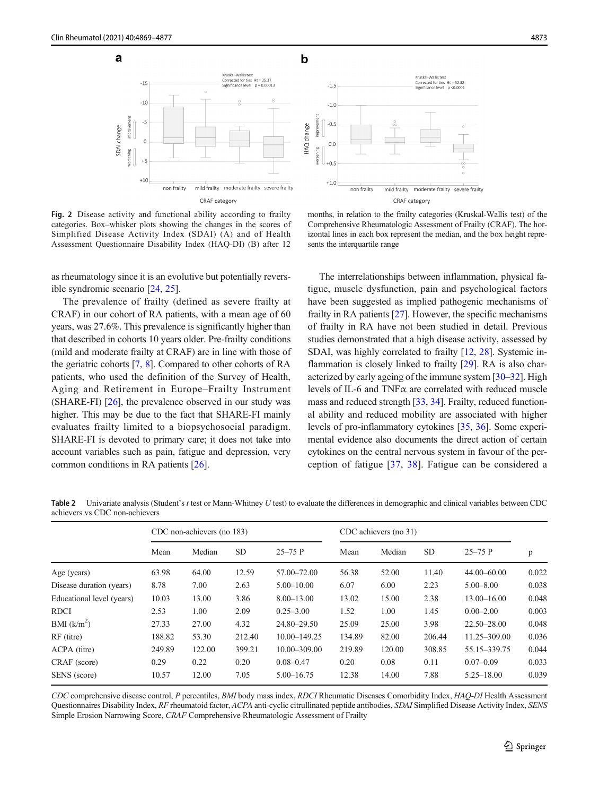<span id="page-4-0"></span>



Fig. 2 Disease activity and functional ability according to frailty categories. Box–whisker plots showing the changes in the scores of Simplified Disease Activity Index (SDAI) (A) and of Health Assessment Questionnaire Disability Index (HAQ-DI) (B) after 12

as rheumatology since it is an evolutive but potentially reversible syndromic scenario [[24](#page-7-0), [25](#page-7-0)].

The prevalence of frailty (defined as severe frailty at CRAF) in our cohort of RA patients, with a mean age of 60 years, was 27.6%. This prevalence is significantly higher than that described in cohorts 10 years older. Pre-frailty conditions (mild and moderate frailty at CRAF) are in line with those of the geriatric cohorts [\[7](#page-6-0), [8](#page-6-0)]. Compared to other cohorts of RA patients, who used the definition of the Survey of Health, Aging and Retirement in Europe–Frailty Instrument (SHARE-FI) [\[26\]](#page-7-0), the prevalence observed in our study was higher. This may be due to the fact that SHARE-FI mainly evaluates frailty limited to a biopsychosocial paradigm. SHARE-FI is devoted to primary care; it does not take into account variables such as pain, fatigue and depression, very common conditions in RA patients [\[26\]](#page-7-0).

months, in relation to the frailty categories (Kruskal-Wallis test) of the Comprehensive Rheumatologic Assessment of Frailty (CRAF). The horizontal lines in each box represent the median, and the box height represents the interquartile range

The interrelationships between inflammation, physical fatigue, muscle dysfunction, pain and psychological factors have been suggested as implied pathogenic mechanisms of frailty in RA patients [\[27](#page-7-0)]. However, the specific mechanisms of frailty in RA have not been studied in detail. Previous studies demonstrated that a high disease activity, assessed by SDAI, was highly correlated to frailty [[12](#page-6-0), [28\]](#page-7-0). Systemic in-flammation is closely linked to frailty [\[29\]](#page-7-0). RA is also characterized by early ageing of the immune system [[30](#page-7-0)–[32](#page-7-0)]. High levels of IL-6 and TNF $\alpha$  are correlated with reduced muscle mass and reduced strength [[33](#page-7-0), [34\]](#page-7-0). Frailty, reduced functional ability and reduced mobility are associated with higher levels of pro-inflammatory cytokines [[35,](#page-7-0) [36\]](#page-7-0). Some experimental evidence also documents the direct action of certain cytokines on the central nervous system in favour of the perception of fatigue [\[37,](#page-7-0) [38](#page-7-0)]. Fatigue can be considered a

Table 2 Univariate analysis (Student's t test or Mann-Whitney U test) to evaluate the differences in demographic and clinical variables between CDC achievers vs CDC non-achievers

|                           | CDC non-achievers (no 183) |        |           |                  | CDC achievers (no 31) |        |           |                 |       |
|---------------------------|----------------------------|--------|-----------|------------------|-----------------------|--------|-----------|-----------------|-------|
|                           | Mean                       | Median | <b>SD</b> | $25 - 75$ P      | Mean                  | Median | <b>SD</b> | $25 - 75$ P     | p     |
| Age (years)               | 63.98                      | 64.00  | 12.59     | 57.00-72.00      | 56.38                 | 52.00  | 11.40     | 44.00 - 60.00   | 0.022 |
| Disease duration (years)  | 8.78                       | 7.00   | 2.63      | $5.00 - 10.00$   | 6.07                  | 6.00   | 2.23      | $5.00 - 8.00$   | 0.038 |
| Educational level (years) | 10.03                      | 13.00  | 3.86      | $8.00 - 13.00$   | 13.02                 | 15.00  | 2.38      | $13.00 - 16.00$ | 0.048 |
| RDCI                      | 2.53                       | 1.00   | 2.09      | $0.25 - 3.00$    | 1.52                  | 1.00   | 1.45      | $0.00 - 2.00$   | 0.003 |
| BMI (k/m <sup>2</sup> )   | 27.33                      | 27.00  | 4.32      | 24.80-29.50      | 25.09                 | 25.00  | 3.98      | $22.50 - 28.00$ | 0.048 |
| RF (titre)                | 188.82                     | 53.30  | 212.40    | 10.00-149.25     | 134.89                | 82.00  | 206.44    | 11.25-309.00    | 0.036 |
| ACPA (titre)              | 249.89                     | 122.00 | 399.21    | $10.00 - 309.00$ | 219.89                | 120.00 | 308.85    | 55.15 - 339.75  | 0.044 |
| CRAF (score)              | 0.29                       | 0.22   | 0.20      | $0.08 - 0.47$    | 0.20                  | 0.08   | 0.11      | $0.07 - 0.09$   | 0.033 |
| SENS (score)              | 10.57                      | 12.00  | 7.05      | $5.00 - 16.75$   | 12.38                 | 14.00  | 7.88      | $5.25 - 18.00$  | 0.039 |
|                           |                            |        |           |                  |                       |        |           |                 |       |

CDC comprehensive disease control, P percentiles, BMI body mass index, RDCI Rheumatic Diseases Comorbidity Index, HAQ-DI Health Assessment Questionnaires Disability Index, RF rheumatoid factor, ACPA anti-cyclic citrullinated peptide antibodies, SDAI Simplified Disease Activity Index, SENS Simple Erosion Narrowing Score, CRAF Comprehensive Rheumatologic Assessment of Frailty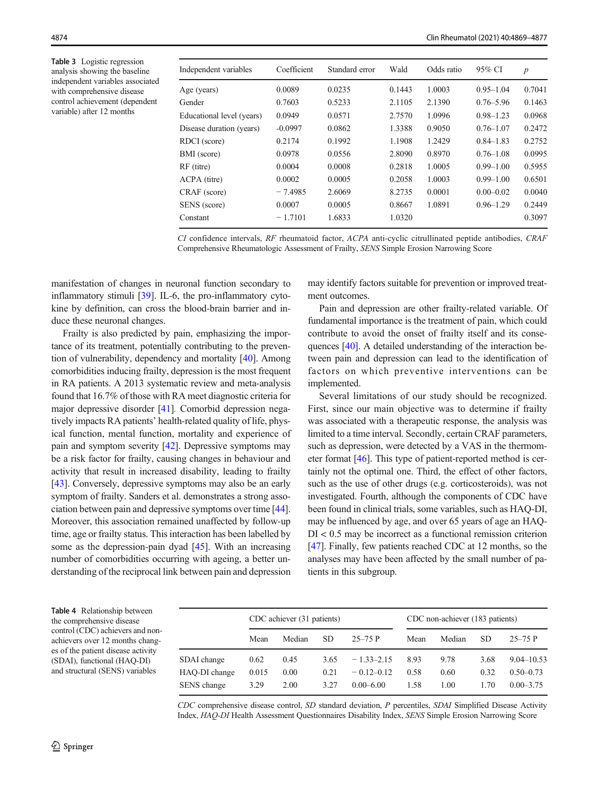<span id="page-5-0"></span>Table 3 Logistic regression analysis showing the baseline independent variables associated with comprehensive disease control achievement (dependent variable) after 12 months

| Independent variables     | Coefficient | Standard error | Wald   | Odds ratio | 95% CI        | $\boldsymbol{p}$ |
|---------------------------|-------------|----------------|--------|------------|---------------|------------------|
| Age (years)               | 0.0089      | 0.0235         | 0.1443 | 1.0003     | $0.95 - 1.04$ | 0.7041           |
| Gender                    | 0.7603      | 0.5233         | 2.1105 | 2.1390     | $0.76 - 5.96$ | 0.1463           |
| Educational level (years) | 0.0949      | 0.0571         | 2.7570 | 1.0996     | $0.98 - 1.23$ | 0.0968           |
| Disease duration (years)  | $-0.0997$   | 0.0862         | 1.3388 | 0.9050     | $0.76 - 1.07$ | 0.2472           |
| RDCI (score)              | 0.2174      | 0.1992         | 1.1908 | 1.2429     | $0.84 - 1.83$ | 0.2752           |
| BMI (score)               | 0.0978      | 0.0556         | 2.8090 | 0.8970     | $0.76 - 1.08$ | 0.0995           |
| RF (titre)                | 0.0004      | 0.0008         | 0.2818 | 1.0005     | $0.99 - 1.00$ | 0.5955           |
| ACPA (titre)              | 0.0002      | 0.0005         | 0.2058 | 1.0003     | $0.99 - 1.00$ | 0.6501           |
| CRAF (score)              | $-7.4985$   | 2.6069         | 8.2735 | 0.0001     | $0.00 - 0.02$ | 0.0040           |
| SENS (score)              | 0.0007      | 0.0005         | 0.8667 | 1.0891     | $0.96 - 1.29$ | 0.2449           |
| Constant                  | $-1.7101$   | 1.6833         | 1.0320 |            |               | 0.3097           |
|                           |             |                |        |            |               |                  |

CI confidence intervals, RF rheumatoid factor, ACPA anti-cyclic citrullinated peptide antibodies, CRAF Comprehensive Rheumatologic Assessment of Frailty, SENS Simple Erosion Narrowing Score

manifestation of changes in neuronal function secondary to inflammatory stimuli [\[39](#page-7-0)]. IL-6, the pro-inflammatory cytokine by definition, can cross the blood-brain barrier and induce these neuronal changes.

Frailty is also predicted by pain, emphasizing the importance of its treatment, potentially contributing to the prevention of vulnerability, dependency and mortality [[40](#page-7-0)]. Among comorbidities inducing frailty, depression is the most frequent in RA patients. A 2013 systematic review and meta-analysis found that 16.7% of those with RA meet diagnostic criteria for major depressive disorder [\[41\]](#page-7-0). Comorbid depression negatively impacts RA patients' health-related quality of life, physical function, mental function, mortality and experience of pain and symptom severity [\[42](#page-7-0)]. Depressive symptoms may be a risk factor for frailty, causing changes in behaviour and activity that result in increased disability, leading to frailty [\[43\]](#page-7-0). Conversely, depressive symptoms may also be an early symptom of frailty. Sanders et al. demonstrates a strong association between pain and depressive symptoms over time [[44\]](#page-7-0). Moreover, this association remained unaffected by follow-up time, age or frailty status. This interaction has been labelled by some as the depression-pain dyad [[45\]](#page-7-0). With an increasing number of comorbidities occurring with ageing, a better understanding of the reciprocal link between pain and depression may identify factors suitable for prevention or improved treatment outcomes.

Pain and depression are other frailty-related variable. Of fundamental importance is the treatment of pain, which could contribute to avoid the onset of frailty itself and its consequences [\[40](#page-7-0)]. A detailed understanding of the interaction between pain and depression can lead to the identification of factors on which preventive interventions can be implemented.

Several limitations of our study should be recognized. First, since our main objective was to determine if frailty was associated with a therapeutic response, the analysis was limited to a time interval. Secondly, certain CRAF parameters, such as depression, were detected by a VAS in the thermometer format [\[46\]](#page-7-0). This type of patient-reported method is certainly not the optimal one. Third, the effect of other factors, such as the use of other drugs (e.g. corticosteroids), was not investigated. Fourth, although the components of CDC have been found in clinical trials, some variables, such as HAQ-DI, may be influenced by age, and over 65 years of age an HAQ- $DI < 0.5$  may be incorrect as a functional remission criterion [\[47](#page-8-0)]. Finally, few patients reached CDC at 12 months, so the analyses may have been affected by the small number of patients in this subgroup.

Table 4 Relationship between the comprehensive disease control (CDC) achievers and nonachievers over 12 months changes of the patient disease activity (SDAI), functional (HAQ-DI) and structural (SENS) variables

|               | CDC achiever (31 patients) |        |      | CDC non-achiever (183 patients) |      |        |      |                |
|---------------|----------------------------|--------|------|---------------------------------|------|--------|------|----------------|
|               | Mean                       | Median | SD.  | $25 - 75$ P                     | Mean | Median | SD   | $25 - 75$ P    |
| SDAI change   | 0.62                       | 0.45   | 3.65 | $-1.33 - 2.15$                  | 8.93 | 9.78   | 3.68 | $9.04 - 10.53$ |
| HAO-DI change | 0.015                      | 0.00   | 0.21 | $-0.12 - 0.12$                  | 0.58 | 0.60   | 0.32 | $0.50 - 0.73$  |
| SENS change   | 3.29                       | 2.00   | 3.27 | $0.00 - 6.00$                   | 1.58 | 1.00   | 1.70 | $0.00 - 3.75$  |

CDC comprehensive disease control, SD standard deviation, P percentiles, SDAI Simplified Disease Activity Index, HAQ-DI Health Assessment Questionnaires Disability Index, SENS Simple Erosion Narrowing Score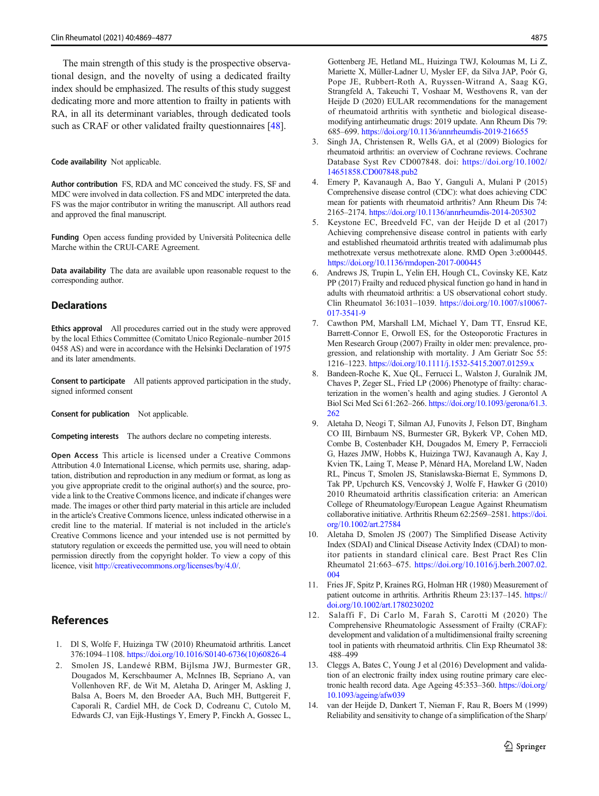<span id="page-6-0"></span>The main strength of this study is the prospective observational design, and the novelty of using a dedicated frailty index should be emphasized. The results of this study suggest dedicating more and more attention to frailty in patients with RA, in all its determinant variables, through dedicated tools such as CRAF or other validated frailty questionnaires [\[48\]](#page-8-0).

#### Code availability Not applicable.

Author contribution FS, RDA and MC conceived the study. FS, SF and MDC were involved in data collection. FS and MDC interpreted the data. FS was the major contributor in writing the manuscript. All authors read and approved the final manuscript.

Funding Open access funding provided by Università Politecnica delle Marche within the CRUI-CARE Agreement.

Data availability The data are available upon reasonable request to the corresponding author.

#### **Declarations**

Ethics approval All procedures carried out in the study were approved by the local Ethics Committee (Comitato Unico Regionale–number 2015 0458 AS) and were in accordance with the Helsinki Declaration of 1975 and its later amendments.

Consent to participate All patients approved participation in the study, signed informed consent

Consent for publication Not applicable.

Competing interests The authors declare no competing interests.

Open Access This article is licensed under a Creative Commons Attribution 4.0 International License, which permits use, sharing, adaptation, distribution and reproduction in any medium or format, as long as you give appropriate credit to the original author(s) and the source, provide a link to the Creative Commons licence, and indicate if changes were made. The images or other third party material in this article are included in the article's Creative Commons licence, unless indicated otherwise in a credit line to the material. If material is not included in the article's Creative Commons licence and your intended use is not permitted by statutory regulation or exceeds the permitted use, you will need to obtain permission directly from the copyright holder. To view a copy of this licence, visit <http://creativecommons.org/licenses/by/4.0/>.

# **References**

- 1. Dl S, Wolfe F, Huizinga TW (2010) Rheumatoid arthritis. Lancet 376:1094–1108. [https://doi.org/10.1016/S0140-6736\(10\)60826-4](https://doi.org/10.1016/S0140-6736(10)60826-4)
- 2. Smolen JS, Landewé RBM, Bijlsma JWJ, Burmester GR, Dougados M, Kerschbaumer A, McInnes IB, Sepriano A, van Vollenhoven RF, de Wit M, Aletaha D, Aringer M, Askling J, Balsa A, Boers M, den Broeder AA, Buch MH, Buttgereit F, Caporali R, Cardiel MH, de Cock D, Codreanu C, Cutolo M, Edwards CJ, van Eijk-Hustings Y, Emery P, Finckh A, Gossec L,

Gottenberg JE, Hetland ML, Huizinga TWJ, Koloumas M, Li Z, Mariette X, Müller-Ladner U, Mysler EF, da Silva JAP, Poór G, Pope JE, Rubbert-Roth A, Ruyssen-Witrand A, Saag KG, Strangfeld A, Takeuchi T, Voshaar M, Westhovens R, van der Heijde D (2020) EULAR recommendations for the management of rheumatoid arthritis with synthetic and biological diseasemodifying antirheumatic drugs: 2019 update. Ann Rheum Dis 79: 685–699. <https://doi.org/10.1136/annrheumdis-2019-216655>

- 3. Singh JA, Christensen R, Wells GA, et al (2009) Biologics for rheumatoid arthritis: an overview of Cochrane reviews. Cochrane Database Syst Rev CD007848. doi: [https://doi.org/10.1002/](https://doi.org/10.1002/14651858.CD007848.pub2) [14651858.CD007848.pub2](https://doi.org/10.1002/14651858.CD007848.pub2)
- 4. Emery P, Kavanaugh A, Bao Y, Ganguli A, Mulani P (2015) Comprehensive disease control (CDC): what does achieving CDC mean for patients with rheumatoid arthritis? Ann Rheum Dis 74: 2165–2174. <https://doi.org/10.1136/annrheumdis-2014-205302>
- 5. Keystone EC, Breedveld FC, van der Heijde D et al (2017) Achieving comprehensive disease control in patients with early and established rheumatoid arthritis treated with adalimumab plus methotrexate versus methotrexate alone. RMD Open 3:e000445. <https://doi.org/10.1136/rmdopen-2017-000445>
- 6. Andrews JS, Trupin L, Yelin EH, Hough CL, Covinsky KE, Katz PP (2017) Frailty and reduced physical function go hand in hand in adults with rheumatoid arthritis: a US observational cohort study. Clin Rheumatol 36:1031–1039. [https://doi.org/10.1007/s10067-](https://doi.org/10.1007/s10067-017-3541-9) [017-3541-9](https://doi.org/10.1007/s10067-017-3541-9)
- 7. Cawthon PM, Marshall LM, Michael Y, Dam TT, Ensrud KE, Barrett-Connor E, Orwoll ES, for the Osteoporotic Fractures in Men Research Group (2007) Frailty in older men: prevalence, progression, and relationship with mortality. J Am Geriatr Soc 55: 1216–1223. <https://doi.org/10.1111/j.1532-5415.2007.01259.x>
- 8. Bandeen-Roche K, Xue QL, Ferrucci L, Walston J, Guralnik JM, Chaves P, Zeger SL, Fried LP (2006) Phenotype of frailty: characterization in the women's health and aging studies. J Gerontol A Biol Sci Med Sci 61:262–266. [https://doi.org/10.1093/gerona/61.3.](https://doi.org/10.1093/gerona/61.3.262) [262](https://doi.org/10.1093/gerona/61.3.262)
- 9. Aletaha D, Neogi T, Silman AJ, Funovits J, Felson DT, Bingham CO III, Birnbaum NS, Burmester GR, Bykerk VP, Cohen MD, Combe B, Costenbader KH, Dougados M, Emery P, Ferraccioli G, Hazes JMW, Hobbs K, Huizinga TWJ, Kavanaugh A, Kay J, Kvien TK, Laing T, Mease P, Ménard HA, Moreland LW, Naden RL, Pincus T, Smolen JS, Stanislawska-Biernat E, Symmons D, Tak PP, Upchurch KS, Vencovský J, Wolfe F, Hawker G (2010) 2010 Rheumatoid arthritis classification criteria: an American College of Rheumatology/European League Against Rheumatism collaborative initiative. Arthritis Rheum 62:2569–2581. [https://doi.](https://doi.org/10.1002/art.27584) [org/10.1002/art.27584](https://doi.org/10.1002/art.27584)
- 10. Aletaha D, Smolen JS (2007) The Simplified Disease Activity Index (SDAI) and Clinical Disease Activity Index (CDAI) to monitor patients in standard clinical care. Best Pract Res Clin Rheumatol 21:663–675. [https://doi.org/10.1016/j.berh.2007.02.](https://doi.org/10.1016/j.berh.2007.02.004) [004](https://doi.org/10.1016/j.berh.2007.02.004)
- 11. Fries JF, Spitz P, Kraines RG, Holman HR (1980) Measurement of patient outcome in arthritis. Arthritis Rheum 23:137–145. [https://](https://doi.org/10.1002/art.1780230202) [doi.org/10.1002/art.1780230202](https://doi.org/10.1002/art.1780230202)
- 12. Salaffi F, Di Carlo M, Farah S, Carotti M (2020) The Comprehensive Rheumatologic Assessment of Frailty (CRAF): development and validation of a multidimensional frailty screening tool in patients with rheumatoid arthritis. Clin Exp Rheumatol 38: 488–499
- 13. Cleggs A, Bates C, Young J et al (2016) Development and validation of an electronic frailty index using routine primary care electronic health record data. Age Ageing 45:353–360. [https://doi.org/](https://doi.org/10.1093/ageing/afw039) [10.1093/ageing/afw039](https://doi.org/10.1093/ageing/afw039)
- 14. van der Heijde D, Dankert T, Nieman F, Rau R, Boers M (1999) Reliability and sensitivity to change of a simplification of the Sharp/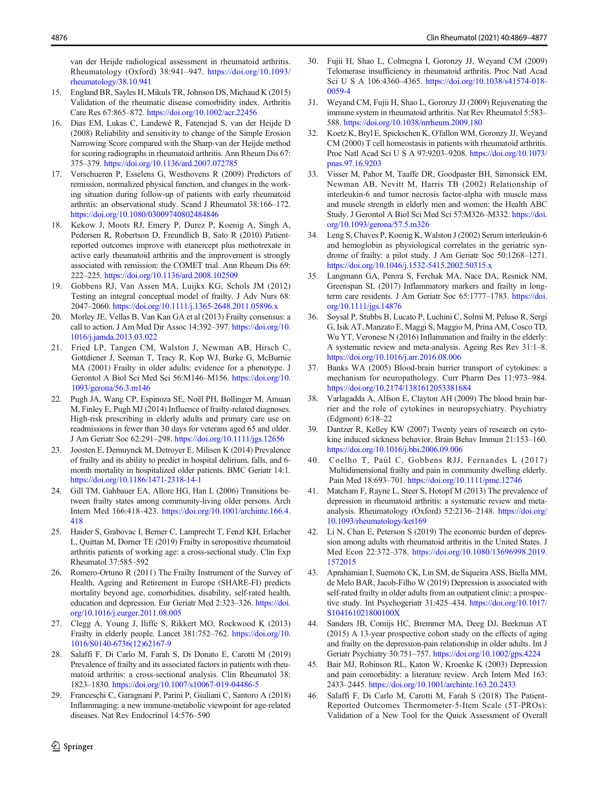<span id="page-7-0"></span>van der Heijde radiological assessment in rheumatoid arthritis. Rheumatology (Oxford) 38:941–947. [https://doi.org/10.1093/](https://doi.org/10.1093/rheumatology/38.10.941) [rheumatology/38.10.941](https://doi.org/10.1093/rheumatology/38.10.941)

- 15. England BR, Sayles H, Mikuls TR, Johnson DS, Michaud K (2015) Validation of the rheumatic disease comorbidity index. Arthritis Care Res 67:865–872. <https://doi.org/10.1002/acr.22456>
- 16. Dias EM, Lukas C, Landewé R, Fatenejad S, van der Heijde D (2008) Reliability and sensitivity to change of the Simple Erosion Narrowing Score compared with the Sharp-van der Heijde method for scoring radiographs in rheumatoid arthritis. Ann Rheum Dis 67: 375–379. <https://doi.org/10.1136/ard.2007.072785>
- 17. Verschueren P, Esselens G, Westhovens R (2009) Predictors of remission, normalized physical function, and changes in the working situation during follow-up of patients with early rheumatoid arthritis: an observational study. Scand J Rheumatol 38:166–172. <https://doi.org/10.1080/03009740802484846>
- 18. Kekow J, Moots RJ, Emery P, Durez P, Koenig A, Singh A, Pedersen R, Robertson D, Freundlich B, Sato R (2010) Patientreported outcomes improve with etanercept plus methotrexate in active early rheumatoid arthritis and the improvement is strongly associated with remission: the COMET trial. Ann Rheum Dis 69: 222–225. <https://doi.org/10.1136/ard.2008.102509>
- 19. Gobbens RJ, Van Assen MA, Luijkx KG, Schols JM (2012) Testing an integral conceptual model of frailty. J Adv Nurs 68: 2047–2060. <https://doi.org/10.1111/j.1365-2648.2011.05896.x>
- 20. Morley JE, Vellas B, Van Kan GA et al (2013) Frailty consensus: a call to action. J Am Med Dir Assoc 14:392–397. [https://doi.org/10.](https://doi.org/10.1016/j.jamda.2013.03.022) [1016/j.jamda.2013.03.022](https://doi.org/10.1016/j.jamda.2013.03.022)
- 21. Fried LP, Tangen CM, Walston J, Newman AB, Hirsch C, Gottdiener J, Seeman T, Tracy R, Kop WJ, Burke G, McBurnie MA (2001) Frailty in older adults: evidence for a phenotype. J Gerontol A Biol Sci Med Sci 56:M146–M156. [https://doi.org/10.](https://doi.org/10.1093/gerona/56.3.m146) [1093/gerona/56.3.m146](https://doi.org/10.1093/gerona/56.3.m146)
- 22. Pugh JA, Wang CP, Espinoza SE, Noël PH, Bollinger M, Amuan M, Finley E, Pugh MJ (2014) Influence of frailty-related diagnoses. High-risk prescribing in elderly adults and primary care use on readmissions in fewer than 30 days for veterans aged 65 and older. J Am Geriatr Soc 62:291–298. <https://doi.org/10.1111/jgs.12656>
- 23. Joosten E, Demuynck M, Detroyer E, Milisen K (2014) Prevalence of frailty and its ability to predict in hospital delirium, falls, and 6 month mortality in hospitalized older patients. BMC Geriatr 14:1. <https://doi.org/10.1186/1471-2318-14-1>
- 24. Gill TM, Gahbauer EA, Allore HG, Han L (2006) Transitions between frailty states among community-living older persons. Arch Intern Med 166:418–423. [https://doi.org/10.1001/archinte.166.4.](https://doi.org/10.1001/archinte.166.4.418) [418](https://doi.org/10.1001/archinte.166.4.418)
- 25. Haider S, Grabovac I, Berner C, Lamprecht T, Fenzl KH, Erlacher L, Quittan M, Dorner TE (2019) Frailty in seropositive rheumatoid arthritis patients of working age: a cross-sectional study. Clin Exp Rheumatol 37:585–592
- 26. Romero-Ortuno R (2011) The Frailty Instrument of the Survey of Health, Ageing and Retirement in Europe (SHARE-FI) predicts mortality beyond age, comorbidities, disability, self-rated health, education and depression. Eur Geriatr Med 2:323–326. [https://doi.](https://doi.org/10.1016/j.eurger.2011.08.005) [org/10.1016/j.eurger.2011.08.005](https://doi.org/10.1016/j.eurger.2011.08.005)
- 27. Clegg A, Young J, Iliffe S, Rikkert MO, Rockwood K (2013) Frailty in elderly people. Lancet 381:752–762. [https://doi.org/10.](https://doi.org/10.1016/S0140-6736(12)62167-9) [1016/S0140-6736\(12\)62167-9](https://doi.org/10.1016/S0140-6736(12)62167-9)
- 28. Salaffi F, Di Carlo M, Farah S, Di Donato E, Carotti M (2019) Prevalence of frailty and its associated factors in patients with rheumatoid arthritis: a cross-sectional analysis. Clin Rheumatol 38: 1823–1830. <https://doi.org/10.1007/s10067-019-04486-5>
- 29. Franceschi C, Garagnani P, Parini P, Giuliani C, Santoro A (2018) Inflammaging: a new immune-metabolic viewpoint for age-related diseases. Nat Rev Endocrinol 14:576–590
- 30. Fujii H, Shao L, Colmegna I, Goronzy JJ, Weyand CM (2009) Telomerase insufficiency in rheumatoid arthritis. Proc Natl Acad Sci U S A 106:4360–4365. [https://doi.org/10.1038/s41574-018-](https://doi.org/10.1038/s41574-018-0059-4) [0059-4](https://doi.org/10.1038/s41574-018-0059-4)
- 31. Weyand CM, Fujii H, Shao L, Goronzy JJ (2009) Rejuvenating the immune system in rheumatoid arthritis. Nat Rev Rheumatol 5:583– 588. <https://doi.org/10.1038/nrrheum.2009.180>
- 32. Koetz K, Bryl E, Spickschen K, O'fallon WM, Goronzy JJ, Weyand CM (2000) T cell homeostasis in patients with rheumatoid arthritis. Proc Natl Acad Sci U S A 97:9203–9208. [https://doi.org/10.1073/](https://doi.org/10.1073/pnas.97.16.9203) [pnas.97.16.9203](https://doi.org/10.1073/pnas.97.16.9203)
- 33. Visser M, Pahor M, Taaffe DR, Goodpaster BH, Simonsick EM, Newman AB, Nevitt M, Harris TB (2002) Relationship of interleukin-6 and tumor necrosis factor-alpha with muscle mass and muscle strength in elderly men and women: the Health ABC Study. J Gerontol A Biol Sci Med Sci 57:M326–M332. [https://doi.](https://doi.org/10.1093/gerona/57.5.m326) [org/10.1093/gerona/57.5.m326](https://doi.org/10.1093/gerona/57.5.m326)
- 34. Leng S, Chaves P, Koenig K, Walston J (2002) Serum interleukin-6 and hemoglobin as physiological correlates in the geriatric syndrome of frailty: a pilot study. J Am Geriatr Soc 50:1268–1271. <https://doi.org/10.1046/j.1532-5415.2002.50315.x>
- 35. Langmann GA, Perera S, Ferchak MA, Nace DA, Resnick NM, Greenspan SL (2017) Inflammatory markers and frailty in longterm care residents. J Am Geriatr Soc 65:1777–1783. [https://doi.](https://doi.org/10.1111/jgs.14876) [org/10.1111/jgs.14876](https://doi.org/10.1111/jgs.14876)
- 36. Soysal P, Stubbs B, Lucato P, Luchini C, Solmi M, Peluso R, Sergi G, Isik AT, Manzato E, Maggi S, Maggio M, Prina AM, Cosco TD, Wu YT, Veronese N (2016) Inflammation and frailty in the elderly: A systematic review and meta-analysis. Ageing Res Rev 31:1–8. <https://doi.org/10.1016/j.arr.2016.08.006>
- 37. Banks WA (2005) Blood-brain barrier transport of cytokines: a mechanism for neuropathology. Curr Pharm Des 11:973–984. <https://doi.org/10.2174/1381612053381684>
- 38. Varlagadda A, Alfson E, Clayton AH (2009) The blood brain barrier and the role of cytokines in neuropsychiatry. Psychiatry (Edgmont) 6:18–22
- 39. Dantzer R, Kelley KW (2007) Twenty years of research on cytokine induced sickness behavior. Brain Behav Immun 21:153–160. <https://doi.org/10.1016/j.bbi.2006.09.006>
- 40. Coelho T, Paúl C, Gobbens RJJ, Fernandes L (2017) Multidimensional frailty and pain in community dwelling elderly. Pain Med 18:693–701. <https://doi.org/10.1111/pme.12746>
- 41. Matcham F, Rayne L, Steer S, Hotopf M (2013) The prevalence of depression in rheumatoid arthritis: a systematic review and metaanalysis. Rheumatology (Oxford) 52:2136–2148. [https://doi.org/](https://doi.org/10.1093/rheumatology/ket169) [10.1093/rheumatology/ket169](https://doi.org/10.1093/rheumatology/ket169)
- 42. Li N, Chan E, Peterson S (2019) The economic burden of depression among adults with rheumatoid arthritis in the United States. J Med Econ 22:372–378. [https://doi.org/10.1080/13696998.2019.](https://doi.org/10.1080/13696998.2019.1572015) [1572015](https://doi.org/10.1080/13696998.2019.1572015)
- 43. Aprahamian I, Suemoto CK, Lin SM, de Siqueira ASS, Biella MM, de Melo BAR, Jacob-Filho W (2019) Depression is associated with self-rated frailty in older adults from an outpatient clinic: a prospective study. Int Psychogeriatr 31:425–434. [https://doi.org/10.1017/](https://doi.org/10.1017/S104161021800100X) [S104161021800100X](https://doi.org/10.1017/S104161021800100X)
- 44. Sanders JB, Comijs HC, Bremmer MA, Deeg DJ, Beekman AT (2015) A 13-year prospective cohort study on the effects of aging and frailty on the depression-pain relationship in older adults. Int J Geriatr Psychiatry 30:751–757. <https://doi.org/10.1002/gps.4224>
- 45. Bair MJ, Robinson RL, Katon W, Kroenke K (2003) Depression and pain comorbidity: a literature review. Arch Intern Med 163: 2433–2445. <https://doi.org/10.1001/archinte.163.20.2433>
- 46. Salaffi F, Di Carlo M, Carotti M, Farah S (2018) The Patient-Reported Outcomes Thermometer-5-Item Scale (5T-PROs): Validation of a New Tool for the Quick Assessment of Overall